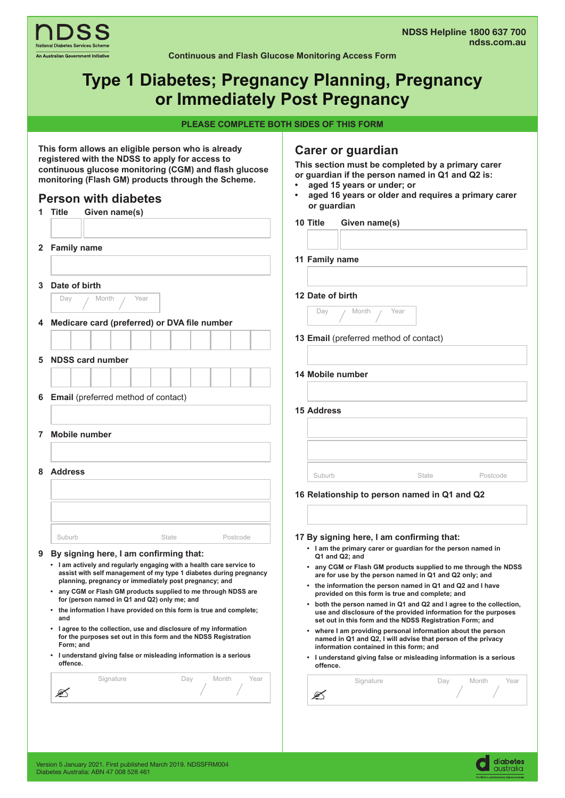

### **Continuous and Flash Glucose Monitoring Access Form**

# **Type 1 Diabetes; Pregnancy Planning, Pregnancy or Immediately Post Pregnancy**

**PLEASE COMPLETE BOTH SIDES OF THIS FORM**

| This form allows an eligible person who is already<br>registered with the NDSS to apply for access to<br>continuous glucose monitoring (CGM) and flash glucose<br>monitoring (Flash GM) products through the Scheme.<br><b>Person with diabetes</b> |                                                                                                                                                  |  | Carer or guardian<br>This section must be completed by a primary carer<br>or guardian if the person named in Q1 and Q2 is:<br>aged 15 years or under; or<br>aged 16 years or older and requires a primary carer<br>$\bullet$<br>or guardian |  |  |
|-----------------------------------------------------------------------------------------------------------------------------------------------------------------------------------------------------------------------------------------------------|--------------------------------------------------------------------------------------------------------------------------------------------------|--|---------------------------------------------------------------------------------------------------------------------------------------------------------------------------------------------------------------------------------------------|--|--|
|                                                                                                                                                                                                                                                     | 1 Title<br>Given name(s)                                                                                                                         |  | Given name(s)<br>10 Title                                                                                                                                                                                                                   |  |  |
|                                                                                                                                                                                                                                                     |                                                                                                                                                  |  |                                                                                                                                                                                                                                             |  |  |
| $\mathbf{2}$                                                                                                                                                                                                                                        | <b>Family name</b>                                                                                                                               |  | 11 Family name                                                                                                                                                                                                                              |  |  |
|                                                                                                                                                                                                                                                     |                                                                                                                                                  |  |                                                                                                                                                                                                                                             |  |  |
| 3                                                                                                                                                                                                                                                   | Date of birth                                                                                                                                    |  |                                                                                                                                                                                                                                             |  |  |
|                                                                                                                                                                                                                                                     | Year<br>Day<br>Month                                                                                                                             |  | 12 Date of birth                                                                                                                                                                                                                            |  |  |
| 4                                                                                                                                                                                                                                                   | Medicare card (preferred) or DVA file number                                                                                                     |  | Day<br>Month<br>Year                                                                                                                                                                                                                        |  |  |
|                                                                                                                                                                                                                                                     |                                                                                                                                                  |  | 13 Email (preferred method of contact)                                                                                                                                                                                                      |  |  |
|                                                                                                                                                                                                                                                     |                                                                                                                                                  |  |                                                                                                                                                                                                                                             |  |  |
| 5                                                                                                                                                                                                                                                   | <b>NDSS card number</b>                                                                                                                          |  | 14 Mobile number                                                                                                                                                                                                                            |  |  |
|                                                                                                                                                                                                                                                     |                                                                                                                                                  |  |                                                                                                                                                                                                                                             |  |  |
| 6                                                                                                                                                                                                                                                   | <b>Email</b> (preferred method of contact)                                                                                                       |  |                                                                                                                                                                                                                                             |  |  |
|                                                                                                                                                                                                                                                     |                                                                                                                                                  |  | <b>15 Address</b>                                                                                                                                                                                                                           |  |  |
| 7                                                                                                                                                                                                                                                   | <b>Mobile number</b>                                                                                                                             |  |                                                                                                                                                                                                                                             |  |  |
|                                                                                                                                                                                                                                                     |                                                                                                                                                  |  |                                                                                                                                                                                                                                             |  |  |
| 8                                                                                                                                                                                                                                                   | <b>Address</b>                                                                                                                                   |  | Suburb<br>State                                                                                                                                                                                                                             |  |  |
|                                                                                                                                                                                                                                                     |                                                                                                                                                  |  | Postcode                                                                                                                                                                                                                                    |  |  |
|                                                                                                                                                                                                                                                     |                                                                                                                                                  |  | 16 Relationship to person named in Q1 and Q2                                                                                                                                                                                                |  |  |
|                                                                                                                                                                                                                                                     |                                                                                                                                                  |  |                                                                                                                                                                                                                                             |  |  |
|                                                                                                                                                                                                                                                     | Suburb<br>State<br>Postcode                                                                                                                      |  | 17 By signing here, I am confirming that:                                                                                                                                                                                                   |  |  |
|                                                                                                                                                                                                                                                     | 9 By signing here, I am confirming that:                                                                                                         |  | • I am the primary carer or guardian for the person named in<br>Q1 and Q2; and                                                                                                                                                              |  |  |
|                                                                                                                                                                                                                                                     | I am actively and regularly engaging with a health care service to<br>assist with self management of my type 1 diabetes during pregnancy         |  | any CGM or Flash GM products supplied to me through the NDSS<br>are for use by the person named in Q1 and Q2 only; and                                                                                                                      |  |  |
|                                                                                                                                                                                                                                                     | planning, pregnancy or immediately post pregnancy; and<br>• any CGM or Flash GM products supplied to me through NDSS are                         |  | • the information the person named in Q1 and Q2 and I have                                                                                                                                                                                  |  |  |
|                                                                                                                                                                                                                                                     | for (person named in Q1 and Q2) only me; and                                                                                                     |  | provided on this form is true and complete; and<br>• both the person named in Q1 and Q2 and I agree to the collection,                                                                                                                      |  |  |
|                                                                                                                                                                                                                                                     | • the information I have provided on this form is true and complete;<br>and                                                                      |  | use and disclosure of the provided information for the purposes<br>set out in this form and the NDSS Registration Form; and                                                                                                                 |  |  |
|                                                                                                                                                                                                                                                     | • lagree to the collection, use and disclosure of my information<br>for the purposes set out in this form and the NDSS Registration<br>Form; and |  | • where I am providing personal information about the person<br>named in Q1 and Q2, I will advise that person of the privacy                                                                                                                |  |  |
|                                                                                                                                                                                                                                                     | • I understand giving false or misleading information is a serious<br>offence.                                                                   |  | information contained in this form; and<br>• I understand giving false or misleading information is a serious<br>offence.                                                                                                                   |  |  |
|                                                                                                                                                                                                                                                     | Signature<br>Year<br>Day<br>Month                                                                                                                |  | Signature<br>Day<br>Month<br>Year                                                                                                                                                                                                           |  |  |
|                                                                                                                                                                                                                                                     | €                                                                                                                                                |  | Ø                                                                                                                                                                                                                                           |  |  |
|                                                                                                                                                                                                                                                     |                                                                                                                                                  |  |                                                                                                                                                                                                                                             |  |  |
|                                                                                                                                                                                                                                                     |                                                                                                                                                  |  |                                                                                                                                                                                                                                             |  |  |

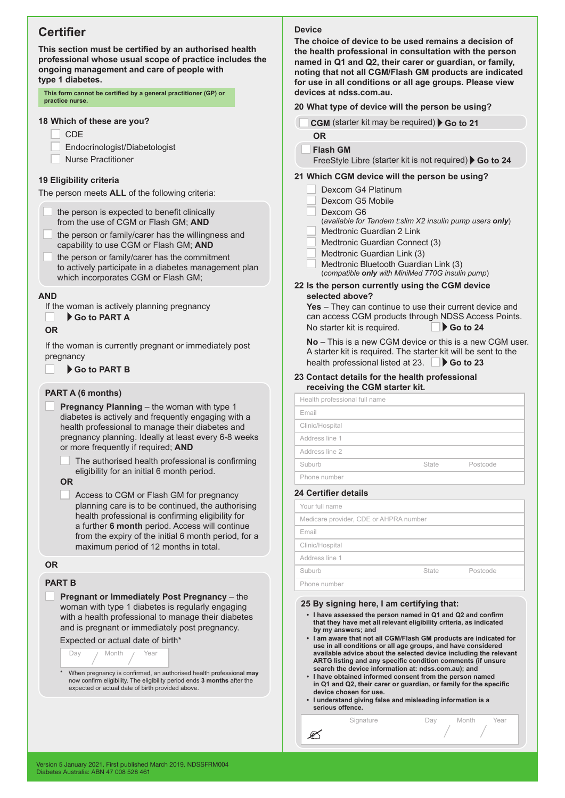# **Certifier**

**This section must be certified by an authorised health professional whose usual scope of practice includes the ongoing management and care of people with type 1 diabetes.**

**This form cannot be certified by a general practitioner (GP) or practice nurse.** 

### **18 Which of these are you?**

- **CDE** 
	- Endocrinologist/Diabetologist
- Nurse Practitioner

## **19 Eligibility criteria**

The person meets **ALL** of the following criteria:

- the person is expected to benefit clinically from the use of CGM or Flash GM; **AND**
- the person or family/carer has the willingness and capability to use CGM or Flash GM; **AND**
- the person or family/carer has the commitment to actively participate in a diabetes management plan which incorporates CGM or Flash GM;

## **AND**

If the woman is actively planning pregnancy

 **Go to PART A**

## **OR**

If the woman is currently pregnant or immediately post pregnancy

## **Go to PART B**

## **PART A (6 months)**

- **Pregnancy Planning** the woman with type 1 diabetes is actively and frequently engaging with a health professional to manage their diabetes and pregnancy planning. Ideally at least every 6-8 weeks or more frequently if required; **AND**
	- The authorised health professional is confirming eligibility for an initial 6 month period.

## **OR**

Access to CGM or Flash GM for pregnancy planning care is to be continued, the authorising health professional is confirming eligibility for a further **6 month** period. Access will continue from the expiry of the initial 6 month period, for a maximum period of 12 months in total.

#### **OR**

## **PART B**

**Pregnant or Immediately Post Pregnancy** – the woman with type 1 diabetes is regularly engaging with a health professional to manage their diabetes and is pregnant or immediately post pregnancy.

Expected or actual date of birth\*



now confirm eligibility. The eligibility period ends **3 months** after the expected or actual date of birth provided above.

### **Device**

**The choice of device to be used remains a decision of the health professional in consultation with the person named in Q1 and Q2, their carer or guardian, or family, noting that not all CGM/Flash GM products are indicated for use in all conditions or all age groups. Please view devices at ndss.com.au.** 

### **20 What type of device will the person be using?**

- **CGM** (starter kit may be required) Go to 21 **OR**
	- **Flash GM**

FreeStyle Libre (starter kit is not required) Go to 24

## **21 Which CGM device will the person be using?**

- Dexcom G4 Platinum
- Dexcom G5 Mobile
- Dexcom G6
	- (*available for Tandem t:slim X2 insulin pump users only*)
- Medtronic Guardian 2 Link
- Medtronic Guardian Connect (3)
- Medtronic Guardian Link (3)
- Medtronic Bluetooth Guardian Link (3) (*compatible only with MiniMed 770G insulin pump*)

#### **22 Is the person currently using the CGM device selected above?**

**Yes** – They can continue to use their current device and can access CGM products through NDSS Access Points. No starter kit is required. **But So to 24** 

**No** – This is a new CGM device or this is a new CGM user. A starter kit is required. The starter kit will be sent to the health professional listed at 23. **Go to 23** 

#### **23 Contact details for the health professional receiving the CGM starter kit.**

| Health professional full name |       |          |  |  |  |
|-------------------------------|-------|----------|--|--|--|
| Email                         |       |          |  |  |  |
| Clinic/Hospital               |       |          |  |  |  |
| Address line 1                |       |          |  |  |  |
| Address line 2                |       |          |  |  |  |
| Suburb                        | State | Postcode |  |  |  |
| Phone number                  |       |          |  |  |  |
|                               |       |          |  |  |  |

#### **24 Certifier details**

ØŚ

| Your full name                         |       |          |  |  |  |
|----------------------------------------|-------|----------|--|--|--|
| Medicare provider, CDE or AHPRA number |       |          |  |  |  |
| Email                                  |       |          |  |  |  |
| Clinic/Hospital                        |       |          |  |  |  |
| Address line 1                         |       |          |  |  |  |
| Suburb                                 | State | Postcode |  |  |  |
| Phone number                           |       |          |  |  |  |

#### **25 By signing here, I am certifying that:**

- **• I have assessed the person named in Q1 and Q2 and confirm that they have met all relevant eligibility criteria, as indicated by my answers; and**
- **• I am aware that not all CGM/Flash GM products are indicated for use in all conditions or all age groups, and have considered available advice about the selected device including the relevant ARTG listing and any specific condition comments (if unsure search the device information at: ndss.com.au); and**
- **• I have obtained informed consent from the person named in Q1 and Q2, their carer or guardian, or family for the specific device chosen for use.**

Signature **Day** Month Year

**• I understand giving false and misleading information is a serious offence.**